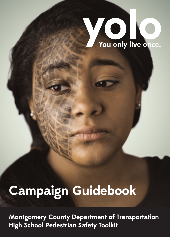

# **Campaign Guidebook**

**Montgomery County Department of Transportation High School Pedestrian Safety Toolkit**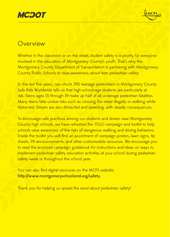

### **Overview**

Whether in the classroom or on the street, student safety is a priority for everyone involved in the education of Montgomery County's youth. That's why the Montgomery County Department of Transportation is partnering with Montgomery County Public Schools to raise awareness about teen pedestrian safety.

In the last five years, cars struck 292 teenage pedestrians in Montgomery County. Safe Kids Worldwide tells us that high-school-age students are particularly at risk. Teens ages 15 through 19 make up half of all underage pedestrian fatalities. Many teens take undue risks such as crossing the street illegally or walking while distracted. Drivers are also distracted and speeding, with deadly consequences.

To encourage safe practices among our students and drivers near Montgomery County high schools, we have refreshed the YOLO campaign and toolkit to help schools raise awareness of the risks of dangerous walking and driving behaviors. Inside the toolkit you will find an assortment of campaign posters, lawn signs, tip sheets, PA announcements, and other customizable resources. We encourage you to read the enclosed campaign guidebook for instructions and ideas on ways to implement pedestrian safety education activities at your school during pedestrian safety week or throughout the school year.

You can also find digital resources on the MCPS website: http://www.montgomeryschoolsmd.org/safety.

Thank you for helping us spread the word about pedestrian safety!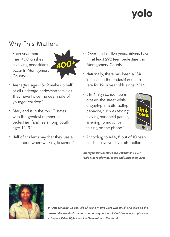# **70 0**

## Why This Matters

• Each year more than 400 crashes involving pedestrians occur in Montgomery County†



- Teenagers ages 15-19 make up half of all underage pedestrian fatalities. They have twice the death rate of younger children.\*
- Maryland is in the top 10 states with the greatest number of pedestrian fatalities among youth ages 12-19.\*
- Half of students say that they use a cell phone when walking to school.<sup>\*</sup>
- Over the last five years, drivers have hit at least 292 teen pedestrians in Montgomery County.†
- Nationally, there has been a 13% increase in the pedestrian death rate for 12-19 year olds since 2013.\*
- 1 in 4 high school teens crosses the street while engaging in a distracting behavior, such as texting, playing handheld games, listening to music, or talking on the phone.<sup>\*</sup>



• According to AAA, 6 out of 10 teen crashes involve driver distraction.

† Montgomery County Police Department, 2017 \*Safe Kids Worldwide, Teens and Distraction, 2016



In October 2012, 15-year-old Christina Morris Ward was struck and killed as she crossed the street-distracted-on her way to school. Christina was a sophomore at Seneca Valley High School in Germantown, Maryland.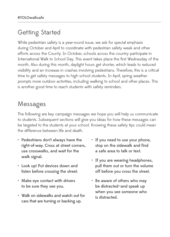## Getting Started

While pedestrian safety is a year-round issue, we ask for special emphasis during October and April to coordinate with pedestrian safety week and other efforts across the County. In October, schools across the country participate in International Walk to School Day. This event takes place the first Wednesday of the month. Also during this month, daylight hours get shorter, which leads to reduced visibility and an increase in crashes involving pedestrians. Therefore, this is a critical time to get safety messages to high school students. In April, spring weather prompts more outdoor activities, including walking to school and other places. This is another good time to reach students with safety reminders.

## Messages

The following are key campaign messages we hope you will help us communicate to students. Subsequent sections will give you ideas for how these messages can be targeted to the students at your school. Knowing these safety tips could mean the difference between life and death.

- Pedestrians don't always have the right-of-way. Cross at street corners, use crosswalks, and wait for the walk signal.
- Look up! Put devices down and listen before crossing the street.
- Make eye contact with drivers to be sure they see you.
- Walk on sidewalks and watch out for cars that are turning or backing up.
- If you need to use your phone, stop on the sidewalk and find a safe area to talk or text.
- If you are wearing headphones, pull them out or turn the volume off before you cross the street.
- Be aware of others who may be distracted—and speak up when you see someone who is distracted.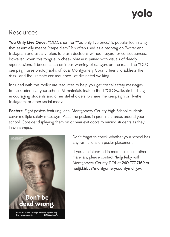### Resources

You Only Live Once. YOLO, short for "You only live once," is popular teen slang that essentially means "carpe diem." It's often used as a hashtag on Twitter and Instagram and usually refers to brash decisions without regard for consequences. However, when this tongue-in-cheek phrase is paired with visuals of deadly repercussions, it becomes an ominous warning of dangers on the road. The YOLO campaign uses photographs of local Montgomery County teens to address the risks—and the ultimate consequence—of distracted walking.

Included with this toolkit are resources to help you get critical safety messages to the students at your school. All materials feature the #YOLOwalksafe hashtag, encouraging students and other stakeholders to share the campaign on Twitter, Instagram, or other social media.

Posters: Eight posters featuring local Montgomery County High School students cover multiple safety messages. Place the posters in prominent areas around your school. Consider displaying them on or near exit doors to remind students as they leave campus.



Don't forget to check whether your school has any restrictions on poster placement.

If you are interested in more posters or other materials, please contact Nadji Kirby with Montgomery County DOT at 240-777-7169 or nadji.kirby@montgomerycountymd.gov.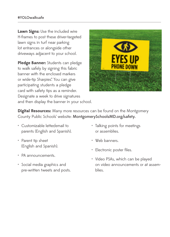**Lawn Signs:** Use the included wire H-frames to post these driver-targeted lawn signs in turf near parking lot entrances or alongside other driveways adjacent to your school.

**Pledge Banner:** Students can pledge to walk safely by signing this fabric banner with the enclosed markers or wide-tip Sharpies® . You can give participating students a pledge card with safety tips as a reminder. Designate a week to drive signatures and then display the banner in your school.



**Digital Resources:** Many more resources can be found on the Montgomery County Public Schools' website: MontgomerySchoolsMD.org/safety.

- Customizable letter/email to parents (English and Spanish).
- Parent tip sheet (English and Spanish).
- PA announcements.
- Social media graphics and pre-written tweets and posts.
- Talking points for meetings or assemblies.
- Web banners.
- Electronic poster files.
- Video PSAs, which can be played on video announcements or at assemblies.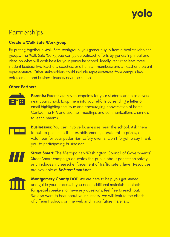

### **Partnerships**

#### **Create a Walk Safe Workgroup**

By putting together a Walk Safe Workgroup, you garner buy-in from critical stakeholder groups. The Walk Safe Workgroup can guide outreach efforts by generating input and ideas on what will work best for your particular school. Ideally, recruit at least three student leaders; two teachers, coaches, or other staff members; and at least one parent representative. Other stakeholders could include representatives from campus law enforcement and business leaders near the school.

#### **Other Partners**



**Parents:** Parents are key touchpoints for your students and also drivers near your school. Loop them into your efforts by sending a letter or email highlighting the issue and encouraging conversation at home. Contact the PTA and use their meetings and communications channels to reach parents.

**Businesses:** You can involve businesses near the school. Ask them to put up posters in their establishments, donate raffle prizes, or volunteer for your pedestrian safety events. Don't forget to say thank you to participating businesses!

**Street Smart:** The Metropolitan Washington Council of Governments' Street Smart campaign educates the public about pedestrian safety and includes increased enforcement of traffic safety laws. Resources are available at BeStreetSmart.net.



**Montgomery County DOT:** We are here to help you get started and guide your process. If you need additional materials, contacts for special speakers, or have any questions, feel free to reach out. We also want to hear about your success! We will feature the efforts of different schools on the web and in our future materials.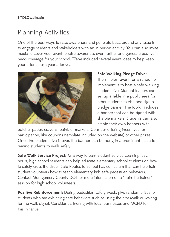### Planning Activities

One of the best ways to raise awareness and generate buzz around any issue is to engage students and stakeholders with an in-person activity. You can also invite media to cover your event to raise awareness even further and generate positive news coverage for your school. We've included several event ideas to help keep your efforts fresh year after year.



#### **Safe Walking Pledge Drive:**

The simplest event for a school to implement is to host a safe walking pledge drive. Student leaders can set up a table in a public area for other students to visit and sign a pledge banner. The toolkit includes a banner that can be signed with sharpie markers. Students can also create their own banners with

butcher paper, crayons, paint, or markers. Consider offering incentives for participation, like coupons (template included on the website) or other prizes. Once the pledge drive is over, the banner can be hung in a prominent place to remind students to walk safely.

**Safe Walk Service Project:** As a way to earn Student Service Learning (SSL) hours, high school students can help educate elementary school students on how to safely cross the street. Safe Routes to School has curriculum that can help train student volunteers how to teach elementary kids safe pedestrian behaviors. Contact Montgomery County DOT for more information on a "train the trainer" session for high school volunteers.

**Positive ReEnforcement:** During pedestrian safety week, give random prizes to students who are exhibiting safe behaviors such as using the crosswalk or waiting for the walk signal. Consider partnering with local businesses and MCPD for this initiative.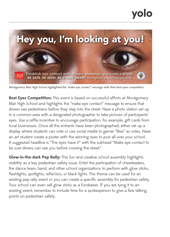

Montgomery Blair High School highlighted the "make eye contact" message with their best eyes competition.

**Best Eyes Competition:** This event is based on successful efforts at Montgomery Blair High School and highlights the "make eye contact" message to ensure that drivers see pedestrians before they step into the street. Have a photo station set up in a common area with a designated photographer to take pictures of participants' eyes. Use a raffle incentive to encourage participation; for example, gift cards from local businesses. Once all the entrants have been photographed, either set up a display where students can vote or use social media to garner "likes" as votes. Have an art student create a poster with the winning eyes to post all over your school. A suggested headline is "The eyes have it" with the subhead "Make eye contact to be sure drivers can see you before crossing the street."

**Glow-in-the-dark Pep Rally:** This fun and creative school assembly highlights visibility as a key pedestrian safety issue. Enlist the participation of cheerleaders, the dance team, band, and other school organizations to perform with glow sticks, flashlights, spotlights, reflectors, or black lights. This theme can be used for an existing pep rally event or you can create a specific assembly for pedestrian safety. Your school can even sell glow sticks as a fundraiser. If you are tying it to an existing event, remember to include time for a spokesperson to give a few talking points on pedestrian safety.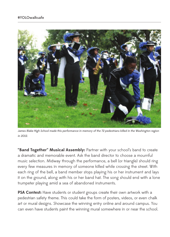

James Blake High School made this performance in memory of the 72 pedestrians killed in the Washington region in 2012.

**"Band Together" Musical Assembly:** Partner with your school's band to create a dramatic and memorable event. Ask the band director to choose a mournful music selection. Midway through the performance, a bell (or triangle) should ring every few measures in memory of someone killed while crossing the street. With each ring of the bell, a band member stops playing his or her instrument and lays it on the ground, along with his or her band hat. The song should end with a lone trumpeter playing amid a sea of abandoned instruments.

PSA Contest: Have students or student groups create their own artwork with a pedestrian safety theme. This could take the form of posters, videos, or even chalk art or mural designs. Showcase the winning entry online and around campus. You can even have students paint the winning mural somewhere in or near the school.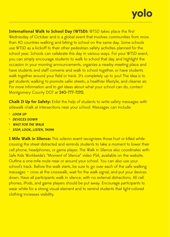# yolo

**International Walk to School Day (WTSD):** WTSD takes place the first Wednesday of October and is a global event that involves communities from more than 40 countries walking and biking to school on the same day. Some schools use WTSD as a kickoff to their other pedestrian safety activities planned for the school year. Schools can celebrate this day in various ways. For your WTSD event, you can simply encourage students to walk to school that day and highlight the occasion in your morning announcements, organize a nearby meeting place and have students and staff convene and walk to school together, or have students walk together around your field or track. It's completely up to you! The idea is to get students walking to promote safer streets, a healthier lifestyle, and cleaner air. For more information and to get ideas about what your school can do, contact Montgomery County DOT at 240-777-7170.

**Chalk It Up for Safety:** Enlist the help of students to write safety messages with sidewalk chalk at intersections near your school. Messages can include:

- **LOOK UP**
- **DEVICES DOWN**
- **WAIT FOR THE WALK**
- **STOP, LOOK, LISTEN, THINK**

**1 Mile Walk in Silence:** This solemn event recognizes those hurt or killed while crossing the street distracted and reminds students to take a moment to lower their cell phone, headphones, or game player. The Walk in Silence also coordinates with Safe Kids Worldwide's "Moment of Silence" video PSA, available on the website. Outline a one-mile route near or around your school. You can also use your school's track. Before the walk starts, be sure to go over each of the safe walking  $m$ essages  $-$  cross at the crosswalk, wait for the walk signal, and put your devices down. Have all participants walk in silence, with no external distractions. All cell phones, iPods, and game players should be put away. Encourage participants to wear white for a strong visual element and to remind students that light-colored clothing increases visibility.